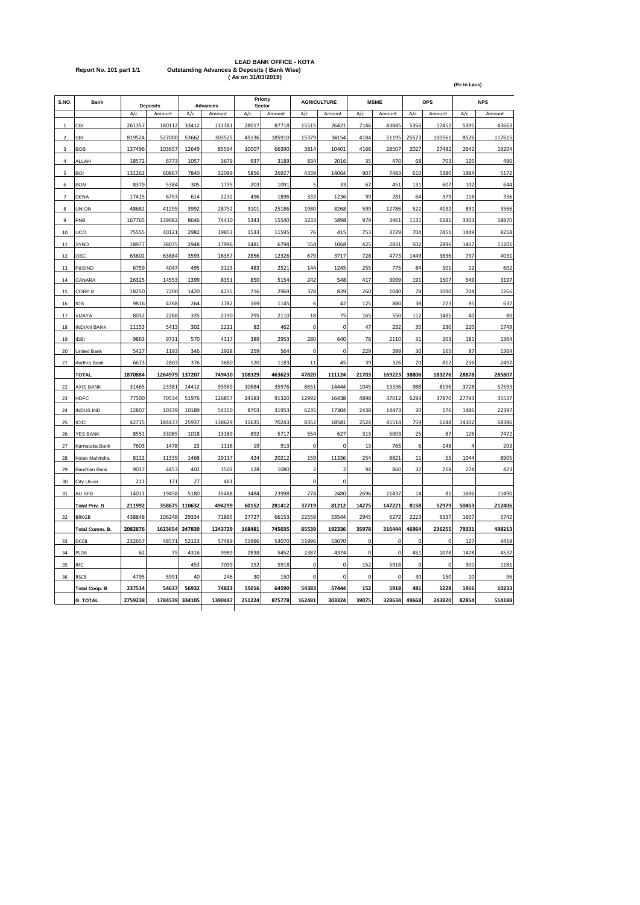# LEAD BANK OFFICE - KOTA<br>Report No. 101 part 1/1 Outstanding Advances & Deposits ( Bank Wise)<br>(As on 31/03/2019)

|                |                         |         |                 |                   |         |        |                    |                | (Rs In Lacs)   |          |          |            |        |       |        |
|----------------|-------------------------|---------|-----------------|-------------------|---------|--------|--------------------|----------------|----------------|----------|----------|------------|--------|-------|--------|
| S.NO           | Bank<br><b>Deposits</b> |         | <b>Advances</b> | Priorty<br>Sector |         |        | <b>AGRICULTURE</b> |                | <b>MSME</b>    | OPS      |          | <b>NPS</b> |        |       |        |
|                |                         | A/c     | Amount          | A/c               | Amount  | A/c    | Amount             | A/c            | Amount         | A/c      | Amount   | A/c        | Amount | A/c   | Amount |
| 1              | CBI                     | 261357  | 180112          | 33412             | 131381  | 28017  | 87718              | 15515          | 26421          | 7146     | 43845    | 5356       | 17452  | 5395  | 43663  |
| $\mathbf 2$    | SBI                     | 819524  | 527000          | 53662             | 303525  | 45136  | 185910             | 15379          | 34154          | 4184     | 51195    | 25573      | 100561 | 8526  | 117615 |
| 3              | <b>BOB</b>              | 137496  | 103657          | 12649             | 85594   | 10007  | 66390              | 3814           | 10401          | 4166     | 28507    | 2027       | 27482  | 2642  | 19204  |
| $\Delta$       | ALLAH                   | 18572   | 6773            | 1057              | 3679    | 937    | 3189               | 834            | 2016           | 35       | 470      | 68         | 703    | 120   | 490    |
| 5              | BOI                     | 131262  | 60867           | 7840              | 32099   | 5856   | 26927              | 4339           | 14064          | 907      | 7483     | 610        | 5380   | 1984  | 5172   |
| 6              | <b>BOM</b>              | 8379    | 5384            | 305               | 1735    | 203    | 1091               | 5              | 33             | 67       | 451      | 131        | 607    | 102   | 644    |
| $\overline{7}$ | DENA                    | 17415   | 6753            | 614               | 2232    | 496    | 1896               | 333            | 1236           | 99       | 281      | 64         | 379    | 118   | 336    |
| 8              | <b>UNION</b>            | 48682   | 41295           | 3992              | 28752   | 3101   | 25186              | 1980           | 8268           | 599      | 12786    | 522        | 4132   | 891   | 3566   |
| $\mathbf{q}$   | PNB                     | 167765  | 139082          | 8646              | 74410   | 5343   | 15540              | 3233           | 5898           | 979      | 3461     | 1131       | 6181   | 3303  | 58870  |
| 10             | UCO                     | 75555   | 40121           | 2982              | 19853   | 1533   | 11595              | 76             | 415            | 753      | 3729     | 704        | 7451   | 1449  | 8258   |
| 11             | SYND                    | 18977   | 38075           | 2948              | 17996   | 1481   | 6794               | 554            | 1068           | 425      | 2831     | 502        | 2896   | 1467  | 11201  |
| 12             | ОВС                     | 63602   | 63884           | 3593              | 16357   | 2856   | 12326              | 679            | 3717           | 728      | 4773     | 1449       | 3836   | 737   | 4031   |
| 13             | P&SIND                  | 6759    | 4047            | 495               | 3123    | 483    | 2521               | 144            | 1245           | 255      | 775      | 84         | 501    | 12    | 602    |
| 14             | CANARA                  | 26325   | 14553           | 1399              | 8351    | 850    | 5154               | 242            | 548            | 417      | 3099     | 191        | 1507   | 549   | 3197   |
| 15             | CORP.B                  | 18250   | 7200            | 1420              | 4235    | 716    | 2969               | 378            | 839            | 260      | 1040     | 78         | 1090   | 704   | 1266   |
| 16             | IOB                     | 9816    | 4768            | 264               | 1782    | 169    | 1145               | 6              | 42             | 125      | 880      | 38         | 223    | 95    | 637    |
| 17             | VIJAYA                  | 8032    | 2268            | 335               | 2190    | 295    | 2110               | 18             | 75             | 165      | 550      | 112        | 1485   | 40    | 80     |
| 18             | <b>INDIAN BANK</b>      | 11153   | 5413            | 302               | 2211    | 82     | 462                | $\mathbf 0$    | $\mathbf 0$    | 47       | 232      | 35         | 230    | 220   | 1749   |
| 19             | <b>IDBI</b>             | 9863    | 9731            | 570               | 4317    | 389    | 2953               | 280            | 640            | 78       | 2110     | 31         | 203    | 181   | 1364   |
| 20             | <b>United Bank</b>      | 5427    | 1193            | 346               | 1928    | 259    | 564                | 0              | 0              | 229      | 399      | 30         | 165    | 87    | 1364   |
| 21             | Andhra Bank             | 6673    | 2803            | 376               | 3680    | 120    | 1183               | 11             | 45             | 39       | 326      | 70         | 812    | 256   | 2497   |
|                | <b>TOTAL</b>            | 1870884 | 1264979         | 137207            | 749430  | 108329 | 463623             | 47820          | 111124         | 21703    | 169223   | 38806      | 183276 | 28878 | 285807 |
| 22             | <b>AXIS BANK</b>        | 31465   | 23381           | 14412             | 93569   | 10684  | 35976              | 8651           | 14444          | 1045     | 13336    | 988        | 8196   | 3728  | 57593  |
| 23             | HDFC                    | 77500   | 70534           | 51976             | 126857  | 24183  | 91320              | 12992          | 16438          | 4898     | 37012    | 6293       | 37870  | 27793 | 35537  |
| 24             | <b>INDUS IND</b>        | 12807   | 10339           | 10189             | 54350   | 8703   | 31953              | 6235           | 17304          | 2438     | 14473    | 30         | 176    | 1486  | 22397  |
| 25             | <b>ICICI</b>            | 42715   | 184437          | 25937             | 138629  | 11635  | 70243              | 8352           | 18581          | 2524     | 45514    | 759        | 6148   | 14302 | 68386  |
| 26             | YES BANK                | 8551    | 33085           | 1018              | 13189   | 892    | 5717               | 554            | 627            | 313      | 5003     | 25         | 87     | 126   | 7472   |
| 27             | Karnataka Bank          | 7603    | 1478            | 23                | 1116    | 19     | 913                | $\mathbf 0$    | $\mathbf 0$    | 13       | 765      | 6          | 148    | Δ     | 203    |
| 28             | Kotak Mahindra          | 8112    | 11339           | 1468              | 29117   | 424    | 20212              | 159            | 11336          | 254      | 8821     | 11         | 55     | 1044  | 8905   |
| 29             | Bandhan Bank            | 9017    | 4453            | 402               | 1503    | 128    | 1080               | $\overline{2}$ | $\overline{2}$ | 94       | 860      | 32         | 218    | 274   | 423    |
| 30             | City Union              | 211     | 171             | 27                | 481     |        |                    | $\mathbf 0$    | $\mathbf 0$    |          |          |            |        |       |        |
| 31             | AU SFB                  | 14011   | 19458           | 5180              | 35488   | 3484   | 23998              | 774            | 2480           | 2696     | 21437    | 14         | 81     | 1696  | 11490  |
|                | <b>Total Priv. B</b>    | 211992  | 358675          | 110632            | 494299  | 60152  | 281412             | 37719          | 81212          | 14275    | 147221   | 8158       | 52979  | 50453 | 212406 |
| 32             | <b>BRKGB</b>            | 438848  | 106248          | 29334             | 71895   | 27727  | 66153              | 22559          | 53544          | 2945     | 6272     | 2223       | 6337   | 1607  | 5742   |
|                | <b>Total Comm. B</b>    | 2082876 | 1623654         | 247839            | 1243729 | 168481 | 745035             | 85539          | 192336         | 35978    | 316444   | 46964      | 236255 | 79331 | 498213 |
| 33             | DCCB                    | 232657  | 48571           | 52123             | 57489   | 51996  | 53070              | 51996          | 53070          | C        | 0        | 0          | C      | 127   | 4419   |
| 34             | PLDB                    | 62      | 75              | 4316              | 9989    | 2838   | 5452               | 2387           | 4374           | $\Omega$ | $\Omega$ | 451        | 1078   | 1478  | 4537   |
| 35             | RFC                     |         |                 | 453               | 7099    | 152    | 5918               | 0              | 0              | 152      | 5918     | $\Omega$   | 0      | 301   | 1181   |
| 36             | RSCB                    | 4795    | 5991            | 40                | 246     | 30     | 150                | $\mathbf 0$    | $\Omega$       | C        | $\Omega$ | 30         | 150    | 10    | 96     |
|                | <b>Total Coop. B</b>    | 237514  | 54637           | 56932             | 74823   | 55016  | 64590              | 54383          | 57444          | 152      | 5918     | 481        | 1228   | 1916  | 10233  |
|                | G. TOTAL                | 2759238 | 1784539         | 334105            | 1390447 | 251224 | 875778             | 162481         | 303324         | 39075    | 328634   | 49668      | 243820 | 82854 | 514188 |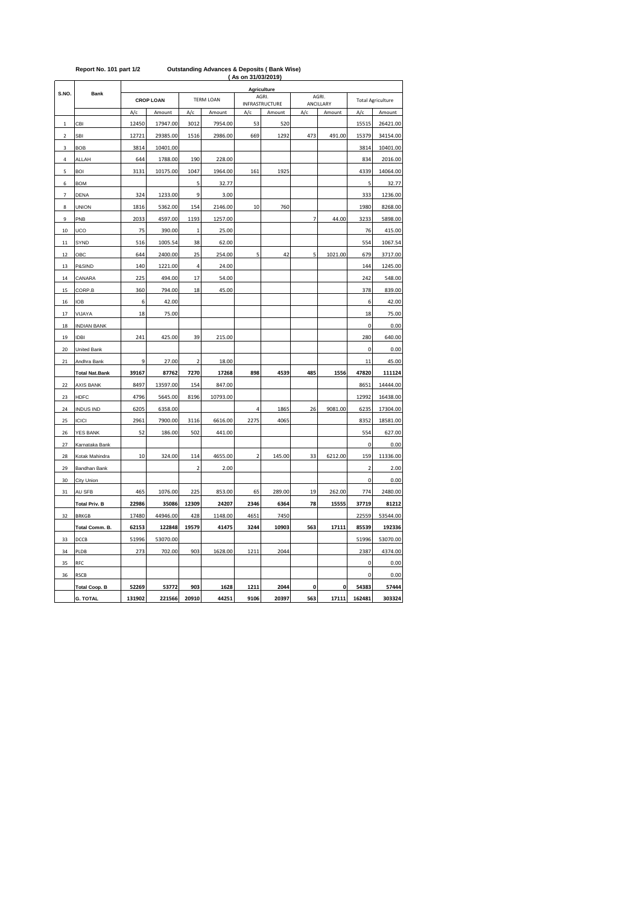|                |                       |                  |          |                         |          | AS ON 31/03/2019) |                                 |                |                     |                          |          |
|----------------|-----------------------|------------------|----------|-------------------------|----------|-------------------|---------------------------------|----------------|---------------------|--------------------------|----------|
|                |                       |                  |          |                         |          |                   | Agriculture                     |                |                     |                          |          |
| S.NO.          | <b>Bank</b>           | <b>CROP LOAN</b> |          | <b>TERM LOAN</b>        |          |                   | AGRI.                           |                | AGRI.               | <b>Total Agriculture</b> |          |
|                |                       | A/c              | Amount   | A/c                     | Amount   | A/c               | <b>INFRASTRUCTURE</b><br>Amount | A/c            | ANCILLARY<br>Amount | A/c                      | Amount   |
| $\mathbf 1$    | CBI                   | 12450            | 17947.00 | 3012                    | 7954.00  | 53                | 520                             |                |                     | 15515                    | 26421.00 |
| 2              | SBI                   | 12721            | 29385.00 | 1516                    | 2986.00  | 669               | 1292                            | 473            | 491.00              | 15379                    | 34154.00 |
| 3              | <b>BOB</b>            | 3814             | 10401.00 |                         |          |                   |                                 |                |                     | 3814                     | 10401.00 |
| 4              | ALLAH                 | 644              | 1788.00  | 190                     | 228.00   |                   |                                 |                |                     | 834                      | 2016.00  |
| 5              | <b>BOI</b>            | 3131             | 10175.00 | 1047                    | 1964.00  | 161               | 1925                            |                |                     | 4339                     | 14064.00 |
| 6              | <b>BOM</b>            |                  |          | 5                       | 32.77    |                   |                                 |                |                     | 5                        | 32.77    |
| $\overline{7}$ | DENA                  | 324              | 1233.00  | 9                       | 3.00     |                   |                                 |                |                     | 333                      | 1236.00  |
| 8              | <b>UNION</b>          | 1816             | 5362.00  | 154                     | 2146.00  | 10                | 760                             |                |                     | 1980                     | 8268.00  |
| 9              | PNB                   | 2033             | 4597.00  | 1193                    | 1257.00  |                   |                                 | $\overline{7}$ | 44.00               | 3233                     | 5898.00  |
| 10             | UCO                   | 75               | 390.00   | $\mathbf 1$             | 25.00    |                   |                                 |                |                     | 76                       | 415.00   |
| 11             | SYND                  | 516              | 1005.54  | 38                      | 62.00    |                   |                                 |                |                     | 554                      | 1067.54  |
| 12             | OBC                   | 644              | 2400.00  | 25                      | 254.00   | 5                 | 42                              | 5              | 1021.00             | 679                      | 3717.00  |
| 13             | P&SIND                | 140              | 1221.00  | 4                       | 24.00    |                   |                                 |                |                     | 144                      | 1245.00  |
| 14             | CANARA                | 225              | 494.00   | 17                      | 54.00    |                   |                                 |                |                     | 242                      | 548.00   |
| 15             | CORP.B                | 360              | 794.00   | 18                      | 45.00    |                   |                                 |                |                     | 378                      | 839.00   |
| 16             | IOB                   | 6                | 42.00    |                         |          |                   |                                 |                |                     | 6                        | 42.00    |
| 17             | VIJAYA                | 18               | 75.00    |                         |          |                   |                                 |                |                     | 18                       | 75.00    |
| 18             | <b>INDIAN BANK</b>    |                  |          |                         |          |                   |                                 |                |                     | $\mathbf 0$              | 0.00     |
| 19             | <b>IDBI</b>           | 241              | 425.00   | 39                      | 215.00   |                   |                                 |                |                     | 280                      | 640.00   |
| 20             | United Bank           |                  |          |                         |          |                   |                                 |                |                     | 0                        | 0.00     |
| $21\,$         | Andhra Bank           | 9                | 27.00    | $\overline{\mathbf{c}}$ | 18.00    |                   |                                 |                |                     | 11                       | 45.00    |
|                | <b>Total Nat.Bank</b> | 39167            | 87762    | 7270                    | 17268    | 898               | 4539                            | 485            | 1556                | 47820                    | 111124   |
| 22             | AXIS BANK             | 8497             | 13597.00 | 154                     | 847.00   |                   |                                 |                |                     | 8651                     | 14444.00 |
| 23             | <b>HDFC</b>           | 4796             | 5645.00  | 8196                    | 10793.00 |                   |                                 |                |                     | 12992                    | 16438.00 |
| 24             | <b>INDUS IND</b>      | 6205             | 6358.00  |                         |          | 4                 | 1865                            | 26             | 9081.00             | 6235                     | 17304.00 |
| 25             | ICICI                 | 2961             | 7900.00  | 3116                    | 6616.00  | 2275              | 4065                            |                |                     | 8352                     | 18581.00 |
| 26             | <b>YES BANK</b>       | 52               | 186.00   | 502                     | 441.00   |                   |                                 |                |                     | 554                      | 627.00   |
| 27             | Karnataka Bank        |                  |          |                         |          |                   |                                 |                |                     | $\mathbf 0$              | 0.00     |
| 28             | Kotak Mahindra        | 10               | 324.00   | 114                     | 4655.00  | ĵ                 | 145.00                          | 33             | 6212.00             | 159                      | 11336.00 |
| 29             | Bandhan Bank          |                  |          | $\overline{c}$          | 2.00     |                   |                                 |                |                     | $\overline{a}$           | 2.00     |
| 30             | City Union            |                  |          |                         |          |                   |                                 |                |                     | $\pmb{0}$                | 0.00     |
| 31             | AU SFB                | 465              | 1076.00  | 225                     | 853.00   | 65                | 289.00                          | 19             | 262.00              | 774                      | 2480.00  |
|                | <b>Total Priv. B</b>  | 22986            | 35086    | 12309                   | 24207    | 2346              | 6364                            | 78             | 15555               | 37719                    | 81212    |
| 32             | <b>BRKGB</b>          | 17480            | 44946.00 | 428                     | 1148.00  | 4651              | 7450                            |                |                     | 22559                    | 53544.00 |
|                | Total Comm. B.        | 62153            | 122848   | 19579                   | 41475    | 3244              | 10903                           | 563            | 17111               | 85539                    | 192336   |
| 33             | DCCB                  | 51996            | 53070.00 |                         |          |                   |                                 |                |                     | 51996                    | 53070.00 |
| 34             | PLDB                  | 273              | 702.00   | 903                     | 1628.00  | 1211              | 2044                            |                |                     | 2387                     | 4374.00  |
| 35             | RFC                   |                  |          |                         |          |                   |                                 |                |                     | $\mathbf 0$              | 0.00     |
| 36             | <b>RSCB</b>           |                  |          |                         |          |                   |                                 |                |                     | 0                        | 0.00     |
|                | <b>Total Coop. B</b>  | 52269            | 53772    | 903                     | 1628     | 1211              | 2044                            | 0              | 0                   | 54383                    | 57444    |
|                | <b>G. TOTAL</b>       | 131902           | 221566   | 20910                   | 44251    | 9106              | 20397                           | 563            | 17111               | 162481                   | 303324   |

## **( As on 31/03/2019) Report No. 101 part 1/2 Outstanding Advances & Deposits ( Bank Wise)**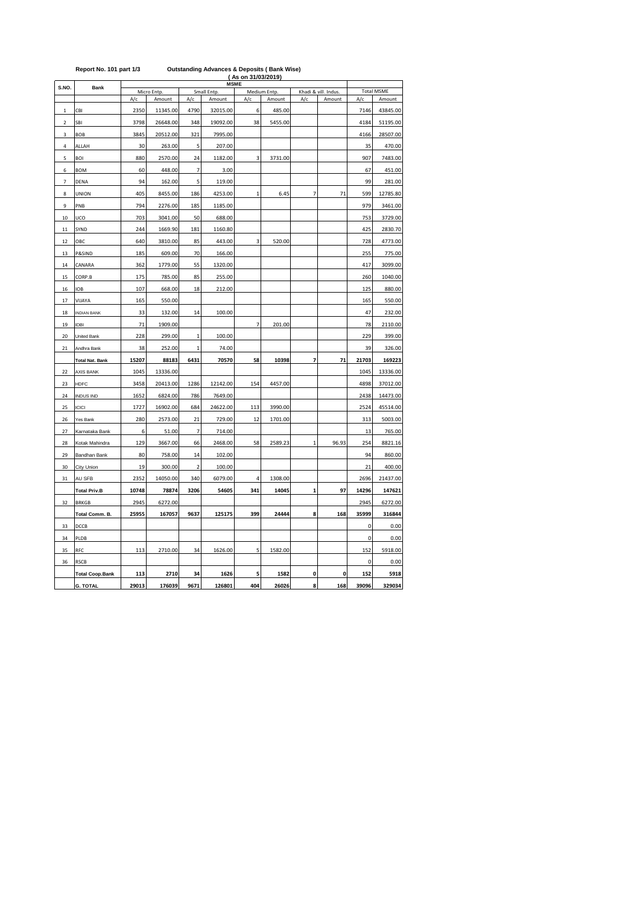|                         | Report No. 101 part 1/3 |       | <b>Outstanding Advances &amp; Deposits (Bank Wise)</b><br>(As on 31/03/2019)<br><b>MSME</b> |                |             |              |              |                |                      |                   |          |  |  |  |  |
|-------------------------|-------------------------|-------|---------------------------------------------------------------------------------------------|----------------|-------------|--------------|--------------|----------------|----------------------|-------------------|----------|--|--|--|--|
| S.NO.                   | Bank                    |       | Micro Entp.                                                                                 |                | Small Entp. |              | Medium Entp. |                | Khadi & vill. Indus. | <b>Total MSME</b> |          |  |  |  |  |
|                         |                         | A/c   | Amount                                                                                      | A/c            | Amount      | A/c          | Amount       | A/c            | Amount               | A/c               | Amount   |  |  |  |  |
| $\mathbf 1$             | CBI                     | 2350  | 11345.00                                                                                    | 4790           | 32015.00    | 6            | 485.00       |                |                      | 7146              | 43845.00 |  |  |  |  |
| $\overline{\mathbf{c}}$ | SBI                     | 3798  | 26648.00                                                                                    | 348            | 19092.00    | 38           | 5455.00      |                |                      | 4184              | 51195.00 |  |  |  |  |
| 3                       | <b>BOB</b>              | 3845  | 20512.00                                                                                    | 321            | 7995.00     |              |              |                |                      | 4166              | 28507.00 |  |  |  |  |
| 4                       | ALLAH                   | 30    | 263.00                                                                                      | 5              | 207.00      |              |              |                |                      | 35                | 470.00   |  |  |  |  |
| 5                       | <b>BOI</b>              | 880   | 2570.00                                                                                     | 24             | 1182.00     | 3            | 3731.00      |                |                      | 907               | 7483.00  |  |  |  |  |
| 6                       | <b>BOM</b>              | 60    | 448.00                                                                                      | 7              | 3.00        |              |              |                |                      | 67                | 451.00   |  |  |  |  |
| $\overline{7}$          | DENA                    | 94    | 162.00                                                                                      | 5              | 119.00      |              |              |                |                      | 99                | 281.00   |  |  |  |  |
| 8                       | <b>UNION</b>            | 405   | 8455.00                                                                                     | 186            | 4253.00     | $\mathbf{1}$ | 6.45         | $\overline{7}$ | 71                   | 599               | 12785.80 |  |  |  |  |
| 9                       | PNB                     | 794   | 2276.00                                                                                     | 185            | 1185.00     |              |              |                |                      | 979               | 3461.00  |  |  |  |  |
| 10                      | UCO                     | 703   | 3041.00                                                                                     | 50             | 688.00      |              |              |                |                      | 753               | 3729.00  |  |  |  |  |
| 11                      | SYND                    | 244   | 1669.90                                                                                     | 181            | 1160.80     |              |              |                |                      | 425               | 2830.70  |  |  |  |  |
| 12                      | ОВС                     | 640   | 3810.00                                                                                     | 85             | 443.00      | 3            | 520.00       |                |                      | 728               | 4773.00  |  |  |  |  |
| 13                      | P&SIND                  | 185   | 609.00                                                                                      | 70             | 166.00      |              |              |                |                      | 255               | 775.00   |  |  |  |  |
| 14                      | CANARA                  | 362   | 1779.00                                                                                     | 55             | 1320.00     |              |              |                |                      | 417               | 3099.00  |  |  |  |  |
| 15                      | CORP.B                  | 175   | 785.00                                                                                      | 85             | 255.00      |              |              |                |                      | 260               | 1040.00  |  |  |  |  |
| 16                      | <b>IOB</b>              | 107   | 668.00                                                                                      | 18             | 212.00      |              |              |                |                      | 125               | 880.00   |  |  |  |  |
| 17                      | VIJAYA                  | 165   | 550.00                                                                                      |                |             |              |              |                |                      | 165               | 550.00   |  |  |  |  |
| 18                      | <b>INDIAN BANK</b>      | 33    | 132.00                                                                                      | 14             | 100.00      |              |              |                |                      | 47                | 232.00   |  |  |  |  |
| 19                      | <b>IDBI</b>             | 71    | 1909.00                                                                                     |                |             | 7            | 201.00       |                |                      | 78                | 2110.00  |  |  |  |  |
| 20                      | United Bank             | 228   | 299.00                                                                                      | $\mathbf{1}$   | 100.00      |              |              |                |                      | 229               | 399.00   |  |  |  |  |
| 21                      | Andhra Bank             | 38    | 252.00                                                                                      | 1              | 74.00       |              |              |                |                      | 39                | 326.00   |  |  |  |  |
|                         | <b>Total Nat. Bank</b>  | 15207 | 88183                                                                                       | 6431           | 70570       | 58           | 10398        | 7              | 71                   | 21703             | 169223   |  |  |  |  |
| 22                      | <b>AXIS BANK</b>        | 1045  | 13336.00                                                                                    |                |             |              |              |                |                      | 1045              | 13336.00 |  |  |  |  |
| 23                      | <b>HDFC</b>             | 3458  | 20413.00                                                                                    | 1286           | 12142.00    | 154          | 4457.00      |                |                      | 4898              | 37012.00 |  |  |  |  |
| 24                      | <b>INDUS IND</b>        | 1652  | 6824.00                                                                                     | 786            | 7649.00     |              |              |                |                      | 2438              | 14473.00 |  |  |  |  |
| 25                      | ICICI                   | 1727  | 16902.00                                                                                    | 684            | 24622.00    | 113          | 3990.00      |                |                      | 2524              | 45514.00 |  |  |  |  |
| 26                      | Yes Bank                | 280   | 2573.00                                                                                     | 21             | 729.00      | 12           | 1701.00      |                |                      | 313               | 5003.00  |  |  |  |  |
| 27                      | Karnataka Bank          | 6     | 51.00                                                                                       | $\overline{7}$ | 714.00      |              |              |                |                      | 13                | 765.00   |  |  |  |  |
| 28                      | Kotak Mahindra          | 129   | 3667.00                                                                                     | 66             | 2468.00     | 58           | 2589.23      | 1              | 96.93                | 254               | 8821.16  |  |  |  |  |
| 29                      | Bandhan Bank            | 80    | 758.00                                                                                      | 14             | 102.00      |              |              |                |                      | 94                | 860.00   |  |  |  |  |
| 30                      | City Union              | 19    | 300.00                                                                                      | $\overline{2}$ | 100.00      |              |              |                |                      | 21                | 400.00   |  |  |  |  |
| 31                      | AU SFB                  | 2352  | 14050.00                                                                                    | 340            | 6079.00     | 4            | 1308.00      |                |                      | 2696              | 21437.00 |  |  |  |  |
|                         | <b>Total Priv.B</b>     | 10748 | 78874                                                                                       | 3206           | 54605       | 341          | 14045        | $\mathbf{1}$   | 97                   | 14296             | 147621   |  |  |  |  |
| 32                      | <b>BRKGB</b>            | 2945  | 6272.00                                                                                     |                |             |              |              |                |                      | 2945              | 6272.00  |  |  |  |  |
|                         | Total Comm. B.          | 25955 | 167057                                                                                      | 9637           | 125175      | 399          | 24444        | 8              | 168                  | 35999             | 316844   |  |  |  |  |
| 33                      | DCCB                    |       |                                                                                             |                |             |              |              |                |                      | $\Omega$          | 0.00     |  |  |  |  |
| 34                      | PLDB                    |       |                                                                                             |                |             |              |              |                |                      | 0                 | 0.00     |  |  |  |  |
| 35                      | RFC                     | 113   | 2710.00                                                                                     | 34             | 1626.00     | 5            | 1582.00      |                |                      | 152               | 5918.00  |  |  |  |  |
| 36                      | RSCB                    |       |                                                                                             |                |             |              |              |                |                      | 0                 | 0.00     |  |  |  |  |
|                         | <b>Total Coop.Bank</b>  | 113   | 2710                                                                                        | 34             | 1626        | 5            | 1582         | 0              | 0                    | 152               | 5918     |  |  |  |  |
|                         | <b>G. TOTAL</b>         | 29013 | 176039                                                                                      | 9671           | 126801      | 404          | 26026        | 8              | 168                  | 39096             | 329034   |  |  |  |  |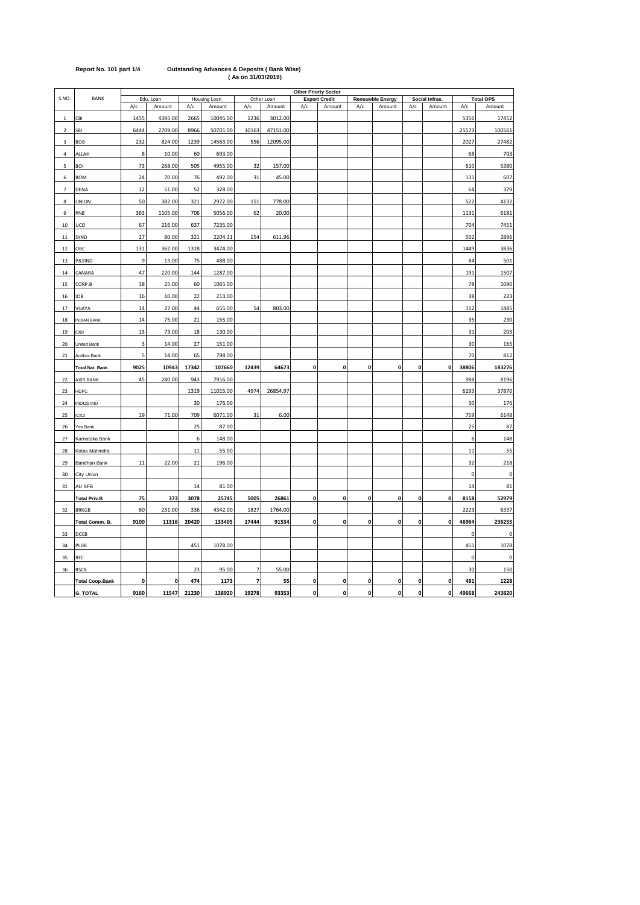|                |                        | <b>Other Priorty Sector</b> |           |       |              |                |            |              |                      |                    |                         |              |                |           |                  |
|----------------|------------------------|-----------------------------|-----------|-------|--------------|----------------|------------|--------------|----------------------|--------------------|-------------------------|--------------|----------------|-----------|------------------|
| S.NO.          | BANK                   |                             | Edu. Loan |       | Housing Loan |                | Other Loan |              | <b>Export Credit</b> |                    | <b>Reneawble Energy</b> |              | Social Infras. |           | <b>Total OPS</b> |
|                |                        | A/c                         | Amount    | A/c   | Amount       | A/c            | Amount     | A/c          | Amount               | A/c                | Amount                  | A/c          | Amount         | A/c       | Amount           |
| $\mathbf{1}$   | CBI                    | 1455                        | 4395.00   | 2665  | 10045.00     | 1236           | 3012.00    |              |                      |                    |                         |              |                | 5356      | 17452            |
| $\overline{2}$ | SBI                    | 6444                        | 2709.00   | 8966  | 50701.00     | 10163          | 47151.00   |              |                      |                    |                         |              |                | 25573     | 100561           |
| $\overline{3}$ | <b>BOB</b>             | 232                         | 824.00    | 1239  | 14563.00     | 556            | 12095.00   |              |                      |                    |                         |              |                | 2027      | 27482            |
| $\overline{a}$ | ALLAH                  | 8                           | 10.00     | 60    | 693.00       |                |            |              |                      |                    |                         |              |                | 68        | 703              |
| 5              | BOI                    | 73                          | 268.00    | 505   | 4955.00      | 32             | 157.00     |              |                      |                    |                         |              |                | 610       | 5380             |
| 6              | <b>BOM</b>             | 24                          | 70.00     | 76    | 492.00       | 31             | 45.00      |              |                      |                    |                         |              |                | 131       | 607              |
| $\overline{7}$ | DENA                   | 12                          | 51.00     | 52    | 328.00       |                |            |              |                      |                    |                         |              |                | 64        | 379              |
| 8              | UNION                  | 50                          | 382.00    | 321   | 2972.00      | 151            | 778.00     |              |                      |                    |                         |              |                | 522       | 4132             |
| 9              | PNB                    | 363                         | 1105.00   | 706   | 5056.00      | 62             | 20.00      |              |                      |                    |                         |              |                | 1131      | 6181             |
| 10             | UCO                    | 67                          | 216.00    | 637   | 7235.00      |                |            |              |                      |                    |                         |              |                | 704       | 7451             |
| $11\,$         | SYND                   | 27                          | 80.00     | 321   | 2204.21      | 154            | 611.96     |              |                      |                    |                         |              |                | 502       | 2896             |
| 12             | ОВС                    | 131                         | 362.00    | 1318  | 3474.00      |                |            |              |                      |                    |                         |              |                | 1449      | 3836             |
| 13             | P&SIND                 | 9                           | 13.00     | 75    | 488.00       |                |            |              |                      |                    |                         |              |                | 84        | 501              |
| 14             | CANARA                 | 47                          | 220.00    | 144   | 1287.00      |                |            |              |                      |                    |                         |              |                | 191       | 1507             |
| 15             | CORP.B                 | 18                          | 25.00     | 60    | 1065.00      |                |            |              |                      |                    |                         |              |                | 78        | 1090             |
| 16             | <b>IOB</b>             | 16                          | 10.00     | 22    | 213.00       |                |            |              |                      |                    |                         |              |                | 38        | 223              |
| 17             | VIJAYA                 | 14                          | 27.00     | 44    | 655.00       | 54             | 803.00     |              |                      |                    |                         |              |                | 112       | 1485             |
| 18             | <b>INDIAN BANK</b>     | 14                          | 75.00     | 21    | 155.00       |                |            |              |                      |                    |                         |              |                | 35        | 230              |
| 19             | <b>IDBI</b>            | 13                          | 73.00     | 18    | 130.00       |                |            |              |                      |                    |                         |              |                | 31        | 203              |
| 20             | United Bank            | 3                           | 14.00     | 27    | 151.00       |                |            |              |                      |                    |                         |              |                | 30        | 165              |
| 21             | Andhra Bank            | 5                           | 14.00     | 65    | 798.00       |                |            |              |                      |                    |                         |              |                | 70        | 812              |
|                | <b>Total Nat. Bank</b> | 9025                        | 10943     | 17342 | 107660       | 12439          | 64673      | 0            | 0                    | 0                  | 0                       | 0            | 0              | 38806     | 183276           |
| 22             | <b>AXIS BANK</b>       | 45                          | 280.00    | 943   | 7916.00      |                |            |              |                      |                    |                         |              |                | 988       | 8196             |
| 23             | HDFC                   |                             |           | 1319  | 11015.00     | 4974           | 26854.97   |              |                      |                    |                         |              |                | 6293      | 37870            |
| 24             | <b>INDUS IND</b>       |                             |           | 30    | 176.00       |                |            |              |                      |                    |                         |              |                | 30        | 176              |
| 25             | ICICI                  | 19                          | 71.00     | 709   | 6071.00      | 31             | 6.00       |              |                      |                    |                         |              |                | 759       | 6148             |
| 26             | Yes Bank               |                             |           | 25    | 87.00        |                |            |              |                      |                    |                         |              |                | 25        | 87               |
| 27             | Karnataka Bank         |                             |           | 6     | 148.00       |                |            |              |                      |                    |                         |              |                | 6         | 148              |
| 28             | Kotak Mahindra         |                             |           | 11    | 55.00        |                |            |              |                      |                    |                         |              |                | 11        | 55               |
| 29             | Bandhan Bank           | 11                          | 22.00     | 21    | 196.00       |                |            |              |                      |                    |                         |              |                | 32        | 218              |
| 30             | City Union             |                             |           |       |              |                |            |              |                      |                    |                         |              |                | $\pmb{0}$ | $\pmb{0}$        |
| 31             | AU SFB                 |                             |           | 14    | 81.00        |                |            |              |                      |                    |                         |              |                | 14        | 81               |
|                | <b>Total Priv.B</b>    | 75                          | 373       | 3078  | 25745        | 5005           | 26861      | 0            | 0                    | 0                  | 0                       | 0            | 0              | 8158      | 52979            |
| 32             | <b>BRKGB</b>           | 60                          | 231.00    | 336   | 4342.00      | 1827           | 1764.00    |              |                      |                    |                         |              |                | 2223      | 6337             |
|                | Total Comm. B.         | 9100                        | 11316     | 20420 | 133405       | 17444          | 91534      | $\pmb{0}$    | 0                    | 0                  | 0                       | 0            | 0              | 46964     | 236255           |
| 33             | DCCB                   |                             |           |       |              |                |            |              |                      |                    |                         |              |                | 0         | 0                |
| 34             | PLDB                   |                             |           | 451   | 1078.00      |                |            |              |                      |                    |                         |              |                | 451       | 1078             |
| 35             | RFC                    |                             |           |       |              |                |            |              |                      |                    |                         |              |                | $\pmb{0}$ | 0                |
| 36             | RSCB                   |                             |           | 23    | 95.00        | $\overline{7}$ | 55.00      |              |                      |                    |                         |              |                | 30        | 150              |
|                | <b>Total Coop.Bank</b> | 0                           | 0         | 474   | 1173         | 7              | 55         | 0            | 0                    | 0                  | 0                       | 0            | $\mathbf 0$    | 481       | 1228             |
|                | <b>G. TOTAL</b>        | 9160                        | 11547     | 21230 | 138920       | 19278          | 93353      | $\mathbf{o}$ | 0                    | $\pmb{\mathsf{o}}$ | $\mathbf{0}$            | $\mathbf{0}$ | $\mathbf 0$    | 49668     | 243820           |

# **Report No. 101 part 1/4 Outstanding Advances & Deposits ( Bank Wise) ( As on 31/03/2019)**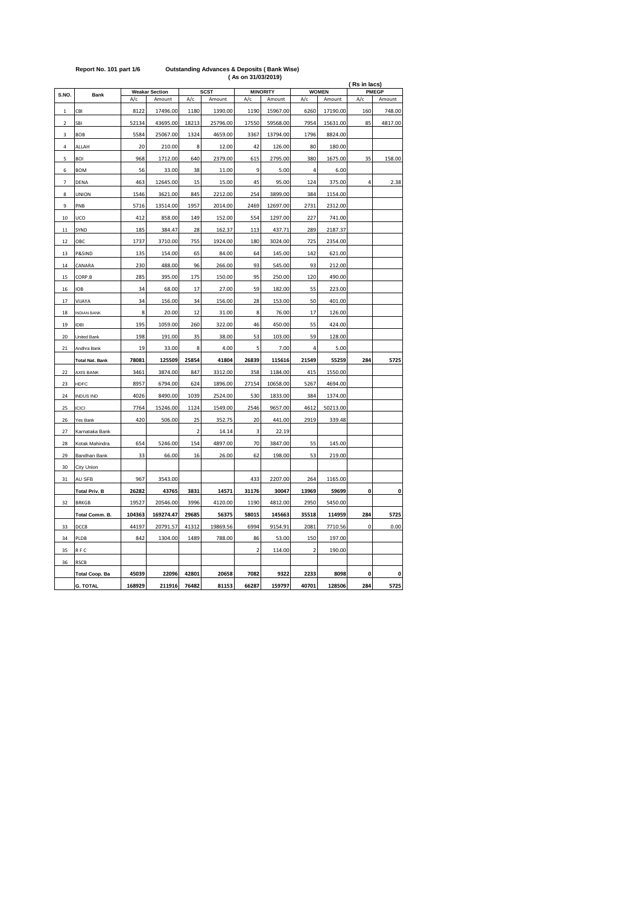| <b>SCST</b><br><b>MINORITY</b><br><b>WOMEN</b><br><b>PMEGP</b><br><b>Weakar Section</b><br>S.NO.<br>Bank<br>A/c<br>A/c<br>Amount<br>A/c<br>A/c<br>A/c<br>Amount<br>Amount<br>Amount<br>Amount<br>CBI<br>8122<br>17496.00<br>1180<br>1390.00<br>1190<br>15967.00<br>6260<br>17190.00<br>160<br>$\mathbf{1}$<br>7954<br>85<br>SBI<br>52134<br>43695.00<br>18213<br>25796.00<br>17550<br>59568.00<br>15631.00<br>$\overline{\mathbf{2}}$<br><b>BOB</b><br>5584<br>25067.00<br>1324<br>4659.00<br>3367<br>13794.00<br>1796<br>8824.00<br>3<br>20<br>210.00<br>12.00<br>42<br>126.00<br>80<br>180.00<br>4<br>ALLAH<br>8<br>5<br><b>BOI</b><br>968<br>1712.00<br>640<br>2379.00<br>615<br>2795.00<br>380<br>1675.00<br>35<br>6<br><b>BOM</b><br>56<br>33.00<br>38<br>11.00<br>9<br>5.00<br>4<br>6.00<br>12645.00<br>45<br>124<br>4<br>$\overline{7}$<br>DENA<br>463<br>15<br>15.00<br>95.00<br>375.00<br>2212.00<br>254<br>3899.00<br>384<br>1546<br>3621.00<br>845<br>1154.00<br>8<br>UNION<br>13514.00<br>1957<br>2014.00<br>2469<br>12697.00<br>2731<br>2312.00<br>9<br>PNB<br>5716<br>UCO<br>858.00<br>149<br>152.00<br>554<br>1297.00<br>10<br>412<br>227<br>741.00<br>289<br>SYND<br>185<br>384.47<br>162.37<br>437.71<br>2187.37<br>28<br>113<br>11<br>OBC<br>1737<br>3710.00<br>755<br>1924.00<br>180<br>3024.00<br>725<br>2354.00<br>12<br>P&SIND<br>135<br>154.00<br>65<br>84.00<br>64<br>145.00<br>142<br>621.00<br>13<br>230<br>488.00<br>96<br>266.00<br>93<br>545.00<br>93<br>14<br>CANARA<br>212.00<br>285<br>395.00<br>175<br>150.00<br>95<br>120<br>15<br>CORP.B<br>250.00<br>490.00<br>16<br><b>IOB</b><br>34<br>68.00<br>17<br>27.00<br>59<br>182.00<br>55<br>223.00<br>34<br>156.00<br>34<br>156.00<br>28<br>153.00<br>50<br>401.00<br>17<br>VIJAYA<br>8<br>18<br><b>INDIAN BANK</b><br>20.00<br>12<br>31.00<br>8<br>76.00<br>17<br>126.00<br>195<br>1059.00<br>260<br>322.00<br>46<br>450.00<br>55<br>19<br>IDBI<br>424.00<br>198<br>35<br>38.00<br>53<br>103.00<br>59<br>128.00<br>20<br>United Bank<br>191.00<br>19<br>8<br>4.00<br>5<br>7.00<br>4<br>33.00<br>5.00<br>21<br>Andhra Bank<br>26839<br>78081<br>125509<br>25854<br>41804<br>115616<br>21549<br>284<br>5725<br>55259<br><b>Total Nat. Bank</b><br>3461<br>3874.00<br>847<br>3312.00<br>358<br>1184.00<br>415<br>1550.00<br>22<br><b>AXIS BANK</b><br>8957<br>6794.00<br>624<br>1896.00<br>27154<br>10658.00<br>5267<br>4694.00<br>23<br>HDFC<br>4026<br>8490.00<br>2524.00<br>384<br>24<br><b>INDUS IND</b><br>1039<br>530<br>1833.00<br>1374.00<br>1549.00<br>2546<br>9657.00<br>25<br><b>ICICI</b><br>7764<br>15246.00<br>1124<br>4612<br>50213.00<br>420<br>506.00<br>25<br>352.75<br>20<br>2919<br>339.48<br>26<br>Yes Bank<br>441.00<br>$\overline{\mathbf{c}}$<br>14.14<br>3<br>22.19<br>27<br>Karnataka Bank<br>28<br>Kotak Mahindra<br>654<br>5246.00<br>154<br>4897.00<br>70<br>3847.00<br>55<br>145.00<br>62<br>53<br>29<br>33<br>66.00<br>16<br>26.00<br>198.00<br>219.00<br>Bandhan Bank<br>30<br>City Union<br>3543.00<br>967<br>433<br>2207.00<br>264<br>31<br>AU SFB<br>1165.00<br>0<br>30047<br>0<br><b>Total Priv. B</b><br>26282<br>43765<br>3831<br>14571<br>31176<br>13969<br>59699<br>19527<br>20546.00<br>3996<br>4120.00<br>1190<br>4812.00<br>2950<br>5450.00<br>32<br><b>BRKGB</b><br>104363<br>29685<br>58015<br>35518<br>114959<br>284<br>169274.47<br>56375<br>145663<br>5725<br>Total Comm. B.<br>6994<br>9154.91<br>$\mathbf 0$<br>0.00<br>33<br>DCCB<br>44197<br>20791.57<br>41312<br>19869.56<br>2081<br>7710.56<br>PLDB<br>842<br>1304.00<br>1489<br>788.00<br>86<br>53.00<br>150<br>197.00<br>34<br>$\overline{2}$<br>35<br>RFC<br>114.00<br>$\overline{\mathbf{c}}$<br>190.00<br>36<br><b>RSCB</b><br><b>Total Coop. Ba</b><br>45039<br>22096<br>42801<br>20658<br>7082<br>9322<br>2233<br>8098<br>0<br>0<br>5725<br><b>G. TOTAL</b><br>168929<br>211916<br>76482<br>81153<br>66287<br>159797<br>40701<br>128506<br>284 |  | (As on 31/03/2019)<br>(Rs in lacs) |  |  |  |  |  |  |  |         |  |  |  |
|------------------------------------------------------------------------------------------------------------------------------------------------------------------------------------------------------------------------------------------------------------------------------------------------------------------------------------------------------------------------------------------------------------------------------------------------------------------------------------------------------------------------------------------------------------------------------------------------------------------------------------------------------------------------------------------------------------------------------------------------------------------------------------------------------------------------------------------------------------------------------------------------------------------------------------------------------------------------------------------------------------------------------------------------------------------------------------------------------------------------------------------------------------------------------------------------------------------------------------------------------------------------------------------------------------------------------------------------------------------------------------------------------------------------------------------------------------------------------------------------------------------------------------------------------------------------------------------------------------------------------------------------------------------------------------------------------------------------------------------------------------------------------------------------------------------------------------------------------------------------------------------------------------------------------------------------------------------------------------------------------------------------------------------------------------------------------------------------------------------------------------------------------------------------------------------------------------------------------------------------------------------------------------------------------------------------------------------------------------------------------------------------------------------------------------------------------------------------------------------------------------------------------------------------------------------------------------------------------------------------------------------------------------------------------------------------------------------------------------------------------------------------------------------------------------------------------------------------------------------------------------------------------------------------------------------------------------------------------------------------------------------------------------------------------------------------------------------------------------------------------------------------------------------------------------------------------------------------------------------------------------------------------------------------------------------------------------------------------------------------------------------------------------------------------------------------------------------------------------------------------------------------------------------------------------------------------------------------------------------------------------------------------------------------------------------------------------------------------------------------------------------------------------------------------------------------------------------------------------------------------------------------------------------------------------------|--|------------------------------------|--|--|--|--|--|--|--|---------|--|--|--|
|                                                                                                                                                                                                                                                                                                                                                                                                                                                                                                                                                                                                                                                                                                                                                                                                                                                                                                                                                                                                                                                                                                                                                                                                                                                                                                                                                                                                                                                                                                                                                                                                                                                                                                                                                                                                                                                                                                                                                                                                                                                                                                                                                                                                                                                                                                                                                                                                                                                                                                                                                                                                                                                                                                                                                                                                                                                                                                                                                                                                                                                                                                                                                                                                                                                                                                                                                                                                                                                                                                                                                                                                                                                                                                                                                                                                                                                                                                                                          |  |                                    |  |  |  |  |  |  |  |         |  |  |  |
|                                                                                                                                                                                                                                                                                                                                                                                                                                                                                                                                                                                                                                                                                                                                                                                                                                                                                                                                                                                                                                                                                                                                                                                                                                                                                                                                                                                                                                                                                                                                                                                                                                                                                                                                                                                                                                                                                                                                                                                                                                                                                                                                                                                                                                                                                                                                                                                                                                                                                                                                                                                                                                                                                                                                                                                                                                                                                                                                                                                                                                                                                                                                                                                                                                                                                                                                                                                                                                                                                                                                                                                                                                                                                                                                                                                                                                                                                                                                          |  |                                    |  |  |  |  |  |  |  |         |  |  |  |
|                                                                                                                                                                                                                                                                                                                                                                                                                                                                                                                                                                                                                                                                                                                                                                                                                                                                                                                                                                                                                                                                                                                                                                                                                                                                                                                                                                                                                                                                                                                                                                                                                                                                                                                                                                                                                                                                                                                                                                                                                                                                                                                                                                                                                                                                                                                                                                                                                                                                                                                                                                                                                                                                                                                                                                                                                                                                                                                                                                                                                                                                                                                                                                                                                                                                                                                                                                                                                                                                                                                                                                                                                                                                                                                                                                                                                                                                                                                                          |  |                                    |  |  |  |  |  |  |  | 748.00  |  |  |  |
|                                                                                                                                                                                                                                                                                                                                                                                                                                                                                                                                                                                                                                                                                                                                                                                                                                                                                                                                                                                                                                                                                                                                                                                                                                                                                                                                                                                                                                                                                                                                                                                                                                                                                                                                                                                                                                                                                                                                                                                                                                                                                                                                                                                                                                                                                                                                                                                                                                                                                                                                                                                                                                                                                                                                                                                                                                                                                                                                                                                                                                                                                                                                                                                                                                                                                                                                                                                                                                                                                                                                                                                                                                                                                                                                                                                                                                                                                                                                          |  |                                    |  |  |  |  |  |  |  | 4817.00 |  |  |  |
|                                                                                                                                                                                                                                                                                                                                                                                                                                                                                                                                                                                                                                                                                                                                                                                                                                                                                                                                                                                                                                                                                                                                                                                                                                                                                                                                                                                                                                                                                                                                                                                                                                                                                                                                                                                                                                                                                                                                                                                                                                                                                                                                                                                                                                                                                                                                                                                                                                                                                                                                                                                                                                                                                                                                                                                                                                                                                                                                                                                                                                                                                                                                                                                                                                                                                                                                                                                                                                                                                                                                                                                                                                                                                                                                                                                                                                                                                                                                          |  |                                    |  |  |  |  |  |  |  |         |  |  |  |
|                                                                                                                                                                                                                                                                                                                                                                                                                                                                                                                                                                                                                                                                                                                                                                                                                                                                                                                                                                                                                                                                                                                                                                                                                                                                                                                                                                                                                                                                                                                                                                                                                                                                                                                                                                                                                                                                                                                                                                                                                                                                                                                                                                                                                                                                                                                                                                                                                                                                                                                                                                                                                                                                                                                                                                                                                                                                                                                                                                                                                                                                                                                                                                                                                                                                                                                                                                                                                                                                                                                                                                                                                                                                                                                                                                                                                                                                                                                                          |  |                                    |  |  |  |  |  |  |  |         |  |  |  |
|                                                                                                                                                                                                                                                                                                                                                                                                                                                                                                                                                                                                                                                                                                                                                                                                                                                                                                                                                                                                                                                                                                                                                                                                                                                                                                                                                                                                                                                                                                                                                                                                                                                                                                                                                                                                                                                                                                                                                                                                                                                                                                                                                                                                                                                                                                                                                                                                                                                                                                                                                                                                                                                                                                                                                                                                                                                                                                                                                                                                                                                                                                                                                                                                                                                                                                                                                                                                                                                                                                                                                                                                                                                                                                                                                                                                                                                                                                                                          |  |                                    |  |  |  |  |  |  |  | 158.00  |  |  |  |
|                                                                                                                                                                                                                                                                                                                                                                                                                                                                                                                                                                                                                                                                                                                                                                                                                                                                                                                                                                                                                                                                                                                                                                                                                                                                                                                                                                                                                                                                                                                                                                                                                                                                                                                                                                                                                                                                                                                                                                                                                                                                                                                                                                                                                                                                                                                                                                                                                                                                                                                                                                                                                                                                                                                                                                                                                                                                                                                                                                                                                                                                                                                                                                                                                                                                                                                                                                                                                                                                                                                                                                                                                                                                                                                                                                                                                                                                                                                                          |  |                                    |  |  |  |  |  |  |  |         |  |  |  |
|                                                                                                                                                                                                                                                                                                                                                                                                                                                                                                                                                                                                                                                                                                                                                                                                                                                                                                                                                                                                                                                                                                                                                                                                                                                                                                                                                                                                                                                                                                                                                                                                                                                                                                                                                                                                                                                                                                                                                                                                                                                                                                                                                                                                                                                                                                                                                                                                                                                                                                                                                                                                                                                                                                                                                                                                                                                                                                                                                                                                                                                                                                                                                                                                                                                                                                                                                                                                                                                                                                                                                                                                                                                                                                                                                                                                                                                                                                                                          |  |                                    |  |  |  |  |  |  |  | 2.38    |  |  |  |
|                                                                                                                                                                                                                                                                                                                                                                                                                                                                                                                                                                                                                                                                                                                                                                                                                                                                                                                                                                                                                                                                                                                                                                                                                                                                                                                                                                                                                                                                                                                                                                                                                                                                                                                                                                                                                                                                                                                                                                                                                                                                                                                                                                                                                                                                                                                                                                                                                                                                                                                                                                                                                                                                                                                                                                                                                                                                                                                                                                                                                                                                                                                                                                                                                                                                                                                                                                                                                                                                                                                                                                                                                                                                                                                                                                                                                                                                                                                                          |  |                                    |  |  |  |  |  |  |  |         |  |  |  |
|                                                                                                                                                                                                                                                                                                                                                                                                                                                                                                                                                                                                                                                                                                                                                                                                                                                                                                                                                                                                                                                                                                                                                                                                                                                                                                                                                                                                                                                                                                                                                                                                                                                                                                                                                                                                                                                                                                                                                                                                                                                                                                                                                                                                                                                                                                                                                                                                                                                                                                                                                                                                                                                                                                                                                                                                                                                                                                                                                                                                                                                                                                                                                                                                                                                                                                                                                                                                                                                                                                                                                                                                                                                                                                                                                                                                                                                                                                                                          |  |                                    |  |  |  |  |  |  |  |         |  |  |  |
|                                                                                                                                                                                                                                                                                                                                                                                                                                                                                                                                                                                                                                                                                                                                                                                                                                                                                                                                                                                                                                                                                                                                                                                                                                                                                                                                                                                                                                                                                                                                                                                                                                                                                                                                                                                                                                                                                                                                                                                                                                                                                                                                                                                                                                                                                                                                                                                                                                                                                                                                                                                                                                                                                                                                                                                                                                                                                                                                                                                                                                                                                                                                                                                                                                                                                                                                                                                                                                                                                                                                                                                                                                                                                                                                                                                                                                                                                                                                          |  |                                    |  |  |  |  |  |  |  |         |  |  |  |
|                                                                                                                                                                                                                                                                                                                                                                                                                                                                                                                                                                                                                                                                                                                                                                                                                                                                                                                                                                                                                                                                                                                                                                                                                                                                                                                                                                                                                                                                                                                                                                                                                                                                                                                                                                                                                                                                                                                                                                                                                                                                                                                                                                                                                                                                                                                                                                                                                                                                                                                                                                                                                                                                                                                                                                                                                                                                                                                                                                                                                                                                                                                                                                                                                                                                                                                                                                                                                                                                                                                                                                                                                                                                                                                                                                                                                                                                                                                                          |  |                                    |  |  |  |  |  |  |  |         |  |  |  |
|                                                                                                                                                                                                                                                                                                                                                                                                                                                                                                                                                                                                                                                                                                                                                                                                                                                                                                                                                                                                                                                                                                                                                                                                                                                                                                                                                                                                                                                                                                                                                                                                                                                                                                                                                                                                                                                                                                                                                                                                                                                                                                                                                                                                                                                                                                                                                                                                                                                                                                                                                                                                                                                                                                                                                                                                                                                                                                                                                                                                                                                                                                                                                                                                                                                                                                                                                                                                                                                                                                                                                                                                                                                                                                                                                                                                                                                                                                                                          |  |                                    |  |  |  |  |  |  |  |         |  |  |  |
|                                                                                                                                                                                                                                                                                                                                                                                                                                                                                                                                                                                                                                                                                                                                                                                                                                                                                                                                                                                                                                                                                                                                                                                                                                                                                                                                                                                                                                                                                                                                                                                                                                                                                                                                                                                                                                                                                                                                                                                                                                                                                                                                                                                                                                                                                                                                                                                                                                                                                                                                                                                                                                                                                                                                                                                                                                                                                                                                                                                                                                                                                                                                                                                                                                                                                                                                                                                                                                                                                                                                                                                                                                                                                                                                                                                                                                                                                                                                          |  |                                    |  |  |  |  |  |  |  |         |  |  |  |
|                                                                                                                                                                                                                                                                                                                                                                                                                                                                                                                                                                                                                                                                                                                                                                                                                                                                                                                                                                                                                                                                                                                                                                                                                                                                                                                                                                                                                                                                                                                                                                                                                                                                                                                                                                                                                                                                                                                                                                                                                                                                                                                                                                                                                                                                                                                                                                                                                                                                                                                                                                                                                                                                                                                                                                                                                                                                                                                                                                                                                                                                                                                                                                                                                                                                                                                                                                                                                                                                                                                                                                                                                                                                                                                                                                                                                                                                                                                                          |  |                                    |  |  |  |  |  |  |  |         |  |  |  |
|                                                                                                                                                                                                                                                                                                                                                                                                                                                                                                                                                                                                                                                                                                                                                                                                                                                                                                                                                                                                                                                                                                                                                                                                                                                                                                                                                                                                                                                                                                                                                                                                                                                                                                                                                                                                                                                                                                                                                                                                                                                                                                                                                                                                                                                                                                                                                                                                                                                                                                                                                                                                                                                                                                                                                                                                                                                                                                                                                                                                                                                                                                                                                                                                                                                                                                                                                                                                                                                                                                                                                                                                                                                                                                                                                                                                                                                                                                                                          |  |                                    |  |  |  |  |  |  |  |         |  |  |  |
|                                                                                                                                                                                                                                                                                                                                                                                                                                                                                                                                                                                                                                                                                                                                                                                                                                                                                                                                                                                                                                                                                                                                                                                                                                                                                                                                                                                                                                                                                                                                                                                                                                                                                                                                                                                                                                                                                                                                                                                                                                                                                                                                                                                                                                                                                                                                                                                                                                                                                                                                                                                                                                                                                                                                                                                                                                                                                                                                                                                                                                                                                                                                                                                                                                                                                                                                                                                                                                                                                                                                                                                                                                                                                                                                                                                                                                                                                                                                          |  |                                    |  |  |  |  |  |  |  |         |  |  |  |
|                                                                                                                                                                                                                                                                                                                                                                                                                                                                                                                                                                                                                                                                                                                                                                                                                                                                                                                                                                                                                                                                                                                                                                                                                                                                                                                                                                                                                                                                                                                                                                                                                                                                                                                                                                                                                                                                                                                                                                                                                                                                                                                                                                                                                                                                                                                                                                                                                                                                                                                                                                                                                                                                                                                                                                                                                                                                                                                                                                                                                                                                                                                                                                                                                                                                                                                                                                                                                                                                                                                                                                                                                                                                                                                                                                                                                                                                                                                                          |  |                                    |  |  |  |  |  |  |  |         |  |  |  |
|                                                                                                                                                                                                                                                                                                                                                                                                                                                                                                                                                                                                                                                                                                                                                                                                                                                                                                                                                                                                                                                                                                                                                                                                                                                                                                                                                                                                                                                                                                                                                                                                                                                                                                                                                                                                                                                                                                                                                                                                                                                                                                                                                                                                                                                                                                                                                                                                                                                                                                                                                                                                                                                                                                                                                                                                                                                                                                                                                                                                                                                                                                                                                                                                                                                                                                                                                                                                                                                                                                                                                                                                                                                                                                                                                                                                                                                                                                                                          |  |                                    |  |  |  |  |  |  |  |         |  |  |  |
|                                                                                                                                                                                                                                                                                                                                                                                                                                                                                                                                                                                                                                                                                                                                                                                                                                                                                                                                                                                                                                                                                                                                                                                                                                                                                                                                                                                                                                                                                                                                                                                                                                                                                                                                                                                                                                                                                                                                                                                                                                                                                                                                                                                                                                                                                                                                                                                                                                                                                                                                                                                                                                                                                                                                                                                                                                                                                                                                                                                                                                                                                                                                                                                                                                                                                                                                                                                                                                                                                                                                                                                                                                                                                                                                                                                                                                                                                                                                          |  |                                    |  |  |  |  |  |  |  |         |  |  |  |
|                                                                                                                                                                                                                                                                                                                                                                                                                                                                                                                                                                                                                                                                                                                                                                                                                                                                                                                                                                                                                                                                                                                                                                                                                                                                                                                                                                                                                                                                                                                                                                                                                                                                                                                                                                                                                                                                                                                                                                                                                                                                                                                                                                                                                                                                                                                                                                                                                                                                                                                                                                                                                                                                                                                                                                                                                                                                                                                                                                                                                                                                                                                                                                                                                                                                                                                                                                                                                                                                                                                                                                                                                                                                                                                                                                                                                                                                                                                                          |  |                                    |  |  |  |  |  |  |  |         |  |  |  |
|                                                                                                                                                                                                                                                                                                                                                                                                                                                                                                                                                                                                                                                                                                                                                                                                                                                                                                                                                                                                                                                                                                                                                                                                                                                                                                                                                                                                                                                                                                                                                                                                                                                                                                                                                                                                                                                                                                                                                                                                                                                                                                                                                                                                                                                                                                                                                                                                                                                                                                                                                                                                                                                                                                                                                                                                                                                                                                                                                                                                                                                                                                                                                                                                                                                                                                                                                                                                                                                                                                                                                                                                                                                                                                                                                                                                                                                                                                                                          |  |                                    |  |  |  |  |  |  |  |         |  |  |  |
|                                                                                                                                                                                                                                                                                                                                                                                                                                                                                                                                                                                                                                                                                                                                                                                                                                                                                                                                                                                                                                                                                                                                                                                                                                                                                                                                                                                                                                                                                                                                                                                                                                                                                                                                                                                                                                                                                                                                                                                                                                                                                                                                                                                                                                                                                                                                                                                                                                                                                                                                                                                                                                                                                                                                                                                                                                                                                                                                                                                                                                                                                                                                                                                                                                                                                                                                                                                                                                                                                                                                                                                                                                                                                                                                                                                                                                                                                                                                          |  |                                    |  |  |  |  |  |  |  |         |  |  |  |
|                                                                                                                                                                                                                                                                                                                                                                                                                                                                                                                                                                                                                                                                                                                                                                                                                                                                                                                                                                                                                                                                                                                                                                                                                                                                                                                                                                                                                                                                                                                                                                                                                                                                                                                                                                                                                                                                                                                                                                                                                                                                                                                                                                                                                                                                                                                                                                                                                                                                                                                                                                                                                                                                                                                                                                                                                                                                                                                                                                                                                                                                                                                                                                                                                                                                                                                                                                                                                                                                                                                                                                                                                                                                                                                                                                                                                                                                                                                                          |  |                                    |  |  |  |  |  |  |  |         |  |  |  |
|                                                                                                                                                                                                                                                                                                                                                                                                                                                                                                                                                                                                                                                                                                                                                                                                                                                                                                                                                                                                                                                                                                                                                                                                                                                                                                                                                                                                                                                                                                                                                                                                                                                                                                                                                                                                                                                                                                                                                                                                                                                                                                                                                                                                                                                                                                                                                                                                                                                                                                                                                                                                                                                                                                                                                                                                                                                                                                                                                                                                                                                                                                                                                                                                                                                                                                                                                                                                                                                                                                                                                                                                                                                                                                                                                                                                                                                                                                                                          |  |                                    |  |  |  |  |  |  |  |         |  |  |  |
|                                                                                                                                                                                                                                                                                                                                                                                                                                                                                                                                                                                                                                                                                                                                                                                                                                                                                                                                                                                                                                                                                                                                                                                                                                                                                                                                                                                                                                                                                                                                                                                                                                                                                                                                                                                                                                                                                                                                                                                                                                                                                                                                                                                                                                                                                                                                                                                                                                                                                                                                                                                                                                                                                                                                                                                                                                                                                                                                                                                                                                                                                                                                                                                                                                                                                                                                                                                                                                                                                                                                                                                                                                                                                                                                                                                                                                                                                                                                          |  |                                    |  |  |  |  |  |  |  |         |  |  |  |
|                                                                                                                                                                                                                                                                                                                                                                                                                                                                                                                                                                                                                                                                                                                                                                                                                                                                                                                                                                                                                                                                                                                                                                                                                                                                                                                                                                                                                                                                                                                                                                                                                                                                                                                                                                                                                                                                                                                                                                                                                                                                                                                                                                                                                                                                                                                                                                                                                                                                                                                                                                                                                                                                                                                                                                                                                                                                                                                                                                                                                                                                                                                                                                                                                                                                                                                                                                                                                                                                                                                                                                                                                                                                                                                                                                                                                                                                                                                                          |  |                                    |  |  |  |  |  |  |  |         |  |  |  |
|                                                                                                                                                                                                                                                                                                                                                                                                                                                                                                                                                                                                                                                                                                                                                                                                                                                                                                                                                                                                                                                                                                                                                                                                                                                                                                                                                                                                                                                                                                                                                                                                                                                                                                                                                                                                                                                                                                                                                                                                                                                                                                                                                                                                                                                                                                                                                                                                                                                                                                                                                                                                                                                                                                                                                                                                                                                                                                                                                                                                                                                                                                                                                                                                                                                                                                                                                                                                                                                                                                                                                                                                                                                                                                                                                                                                                                                                                                                                          |  |                                    |  |  |  |  |  |  |  |         |  |  |  |
|                                                                                                                                                                                                                                                                                                                                                                                                                                                                                                                                                                                                                                                                                                                                                                                                                                                                                                                                                                                                                                                                                                                                                                                                                                                                                                                                                                                                                                                                                                                                                                                                                                                                                                                                                                                                                                                                                                                                                                                                                                                                                                                                                                                                                                                                                                                                                                                                                                                                                                                                                                                                                                                                                                                                                                                                                                                                                                                                                                                                                                                                                                                                                                                                                                                                                                                                                                                                                                                                                                                                                                                                                                                                                                                                                                                                                                                                                                                                          |  |                                    |  |  |  |  |  |  |  |         |  |  |  |
|                                                                                                                                                                                                                                                                                                                                                                                                                                                                                                                                                                                                                                                                                                                                                                                                                                                                                                                                                                                                                                                                                                                                                                                                                                                                                                                                                                                                                                                                                                                                                                                                                                                                                                                                                                                                                                                                                                                                                                                                                                                                                                                                                                                                                                                                                                                                                                                                                                                                                                                                                                                                                                                                                                                                                                                                                                                                                                                                                                                                                                                                                                                                                                                                                                                                                                                                                                                                                                                                                                                                                                                                                                                                                                                                                                                                                                                                                                                                          |  |                                    |  |  |  |  |  |  |  |         |  |  |  |
|                                                                                                                                                                                                                                                                                                                                                                                                                                                                                                                                                                                                                                                                                                                                                                                                                                                                                                                                                                                                                                                                                                                                                                                                                                                                                                                                                                                                                                                                                                                                                                                                                                                                                                                                                                                                                                                                                                                                                                                                                                                                                                                                                                                                                                                                                                                                                                                                                                                                                                                                                                                                                                                                                                                                                                                                                                                                                                                                                                                                                                                                                                                                                                                                                                                                                                                                                                                                                                                                                                                                                                                                                                                                                                                                                                                                                                                                                                                                          |  |                                    |  |  |  |  |  |  |  |         |  |  |  |
|                                                                                                                                                                                                                                                                                                                                                                                                                                                                                                                                                                                                                                                                                                                                                                                                                                                                                                                                                                                                                                                                                                                                                                                                                                                                                                                                                                                                                                                                                                                                                                                                                                                                                                                                                                                                                                                                                                                                                                                                                                                                                                                                                                                                                                                                                                                                                                                                                                                                                                                                                                                                                                                                                                                                                                                                                                                                                                                                                                                                                                                                                                                                                                                                                                                                                                                                                                                                                                                                                                                                                                                                                                                                                                                                                                                                                                                                                                                                          |  |                                    |  |  |  |  |  |  |  |         |  |  |  |
|                                                                                                                                                                                                                                                                                                                                                                                                                                                                                                                                                                                                                                                                                                                                                                                                                                                                                                                                                                                                                                                                                                                                                                                                                                                                                                                                                                                                                                                                                                                                                                                                                                                                                                                                                                                                                                                                                                                                                                                                                                                                                                                                                                                                                                                                                                                                                                                                                                                                                                                                                                                                                                                                                                                                                                                                                                                                                                                                                                                                                                                                                                                                                                                                                                                                                                                                                                                                                                                                                                                                                                                                                                                                                                                                                                                                                                                                                                                                          |  |                                    |  |  |  |  |  |  |  |         |  |  |  |
|                                                                                                                                                                                                                                                                                                                                                                                                                                                                                                                                                                                                                                                                                                                                                                                                                                                                                                                                                                                                                                                                                                                                                                                                                                                                                                                                                                                                                                                                                                                                                                                                                                                                                                                                                                                                                                                                                                                                                                                                                                                                                                                                                                                                                                                                                                                                                                                                                                                                                                                                                                                                                                                                                                                                                                                                                                                                                                                                                                                                                                                                                                                                                                                                                                                                                                                                                                                                                                                                                                                                                                                                                                                                                                                                                                                                                                                                                                                                          |  |                                    |  |  |  |  |  |  |  |         |  |  |  |
|                                                                                                                                                                                                                                                                                                                                                                                                                                                                                                                                                                                                                                                                                                                                                                                                                                                                                                                                                                                                                                                                                                                                                                                                                                                                                                                                                                                                                                                                                                                                                                                                                                                                                                                                                                                                                                                                                                                                                                                                                                                                                                                                                                                                                                                                                                                                                                                                                                                                                                                                                                                                                                                                                                                                                                                                                                                                                                                                                                                                                                                                                                                                                                                                                                                                                                                                                                                                                                                                                                                                                                                                                                                                                                                                                                                                                                                                                                                                          |  |                                    |  |  |  |  |  |  |  |         |  |  |  |
|                                                                                                                                                                                                                                                                                                                                                                                                                                                                                                                                                                                                                                                                                                                                                                                                                                                                                                                                                                                                                                                                                                                                                                                                                                                                                                                                                                                                                                                                                                                                                                                                                                                                                                                                                                                                                                                                                                                                                                                                                                                                                                                                                                                                                                                                                                                                                                                                                                                                                                                                                                                                                                                                                                                                                                                                                                                                                                                                                                                                                                                                                                                                                                                                                                                                                                                                                                                                                                                                                                                                                                                                                                                                                                                                                                                                                                                                                                                                          |  |                                    |  |  |  |  |  |  |  |         |  |  |  |
|                                                                                                                                                                                                                                                                                                                                                                                                                                                                                                                                                                                                                                                                                                                                                                                                                                                                                                                                                                                                                                                                                                                                                                                                                                                                                                                                                                                                                                                                                                                                                                                                                                                                                                                                                                                                                                                                                                                                                                                                                                                                                                                                                                                                                                                                                                                                                                                                                                                                                                                                                                                                                                                                                                                                                                                                                                                                                                                                                                                                                                                                                                                                                                                                                                                                                                                                                                                                                                                                                                                                                                                                                                                                                                                                                                                                                                                                                                                                          |  |                                    |  |  |  |  |  |  |  |         |  |  |  |
|                                                                                                                                                                                                                                                                                                                                                                                                                                                                                                                                                                                                                                                                                                                                                                                                                                                                                                                                                                                                                                                                                                                                                                                                                                                                                                                                                                                                                                                                                                                                                                                                                                                                                                                                                                                                                                                                                                                                                                                                                                                                                                                                                                                                                                                                                                                                                                                                                                                                                                                                                                                                                                                                                                                                                                                                                                                                                                                                                                                                                                                                                                                                                                                                                                                                                                                                                                                                                                                                                                                                                                                                                                                                                                                                                                                                                                                                                                                                          |  |                                    |  |  |  |  |  |  |  |         |  |  |  |
|                                                                                                                                                                                                                                                                                                                                                                                                                                                                                                                                                                                                                                                                                                                                                                                                                                                                                                                                                                                                                                                                                                                                                                                                                                                                                                                                                                                                                                                                                                                                                                                                                                                                                                                                                                                                                                                                                                                                                                                                                                                                                                                                                                                                                                                                                                                                                                                                                                                                                                                                                                                                                                                                                                                                                                                                                                                                                                                                                                                                                                                                                                                                                                                                                                                                                                                                                                                                                                                                                                                                                                                                                                                                                                                                                                                                                                                                                                                                          |  |                                    |  |  |  |  |  |  |  |         |  |  |  |
|                                                                                                                                                                                                                                                                                                                                                                                                                                                                                                                                                                                                                                                                                                                                                                                                                                                                                                                                                                                                                                                                                                                                                                                                                                                                                                                                                                                                                                                                                                                                                                                                                                                                                                                                                                                                                                                                                                                                                                                                                                                                                                                                                                                                                                                                                                                                                                                                                                                                                                                                                                                                                                                                                                                                                                                                                                                                                                                                                                                                                                                                                                                                                                                                                                                                                                                                                                                                                                                                                                                                                                                                                                                                                                                                                                                                                                                                                                                                          |  |                                    |  |  |  |  |  |  |  |         |  |  |  |
|                                                                                                                                                                                                                                                                                                                                                                                                                                                                                                                                                                                                                                                                                                                                                                                                                                                                                                                                                                                                                                                                                                                                                                                                                                                                                                                                                                                                                                                                                                                                                                                                                                                                                                                                                                                                                                                                                                                                                                                                                                                                                                                                                                                                                                                                                                                                                                                                                                                                                                                                                                                                                                                                                                                                                                                                                                                                                                                                                                                                                                                                                                                                                                                                                                                                                                                                                                                                                                                                                                                                                                                                                                                                                                                                                                                                                                                                                                                                          |  |                                    |  |  |  |  |  |  |  |         |  |  |  |
|                                                                                                                                                                                                                                                                                                                                                                                                                                                                                                                                                                                                                                                                                                                                                                                                                                                                                                                                                                                                                                                                                                                                                                                                                                                                                                                                                                                                                                                                                                                                                                                                                                                                                                                                                                                                                                                                                                                                                                                                                                                                                                                                                                                                                                                                                                                                                                                                                                                                                                                                                                                                                                                                                                                                                                                                                                                                                                                                                                                                                                                                                                                                                                                                                                                                                                                                                                                                                                                                                                                                                                                                                                                                                                                                                                                                                                                                                                                                          |  |                                    |  |  |  |  |  |  |  |         |  |  |  |

#### **Report No. 101 part 1/6 Outstanding Advances & Deposits ( Bank Wise)**